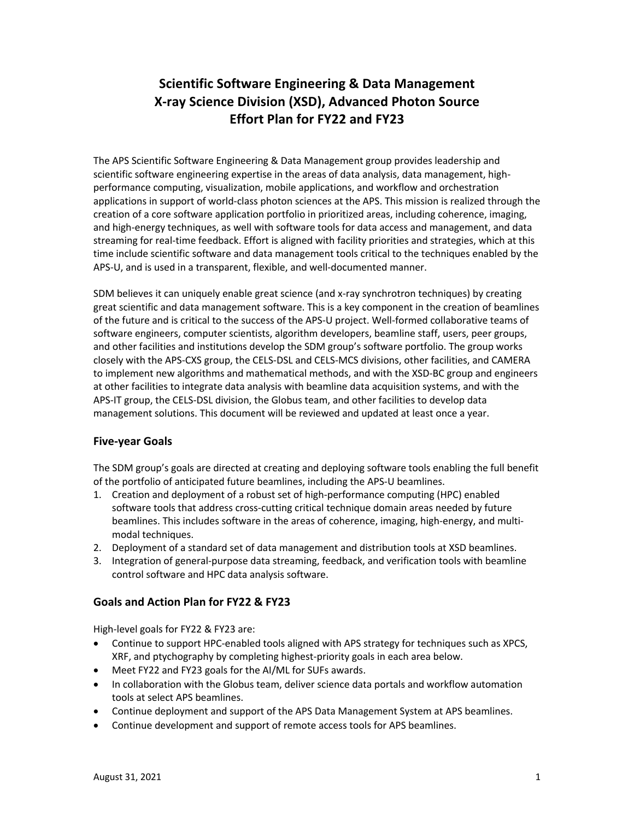# **Scientific Software Engineering & Data Management X-ray Science Division (XSD), Advanced Photon Source Effort Plan for FY22 and FY23**

The APS Scientific Software Engineering & Data Management group provides leadership and scientific software engineering expertise in the areas of data analysis, data management, highperformance computing, visualization, mobile applications, and workflow and orchestration applications in support of world-class photon sciences at the APS. This mission is realized through the creation of a core software application portfolio in prioritized areas, including coherence, imaging, and high-energy techniques, as well with software tools for data access and management, and data streaming for real-time feedback. Effort is aligned with facility priorities and strategies, which at this time include scientific software and data management tools critical to the techniques enabled by the APS-U, and is used in a transparent, flexible, and well-documented manner.

SDM believes it can uniquely enable great science (and x-ray synchrotron techniques) by creating great scientific and data management software. This is a key component in the creation of beamlines of the future and is critical to the success of the APS-U project. Well-formed collaborative teams of software engineers, computer scientists, algorithm developers, beamline staff, users, peer groups, and other facilities and institutions develop the SDM group's software portfolio. The group works closely with the APS-CXS group, the CELS-DSL and CELS-MCS divisions, other facilities, and CAMERA to implement new algorithms and mathematical methods, and with the XSD-BC group and engineers at other facilities to integrate data analysis with beamline data acquisition systems, and with the APS-IT group, the CELS-DSL division, the Globus team, and other facilities to develop data management solutions. This document will be reviewed and updated at least once a year.

### **Five-year Goals**

The SDM group's goals are directed at creating and deploying software tools enabling the full benefit of the portfolio of anticipated future beamlines, including the APS-U beamlines.

- 1. Creation and deployment of a robust set of high-performance computing (HPC) enabled software tools that address cross-cutting critical technique domain areas needed by future beamlines. This includes software in the areas of coherence, imaging, high-energy, and multimodal techniques.
- 2. Deployment of a standard set of data management and distribution tools at XSD beamlines.
- 3. Integration of general-purpose data streaming, feedback, and verification tools with beamline control software and HPC data analysis software.

#### **Goals and Action Plan for FY22 & FY23**

High-level goals for FY22 & FY23 are:

- Continue to support HPC-enabled tools aligned with APS strategy for techniques such as XPCS, XRF, and ptychography by completing highest-priority goals in each area below.
- Meet FY22 and FY23 goals for the AI/ML for SUFs awards.
- In collaboration with the Globus team, deliver science data portals and workflow automation tools at select APS beamlines.
- Continue deployment and support of the APS Data Management System at APS beamlines.
- Continue development and support of remote access tools for APS beamlines.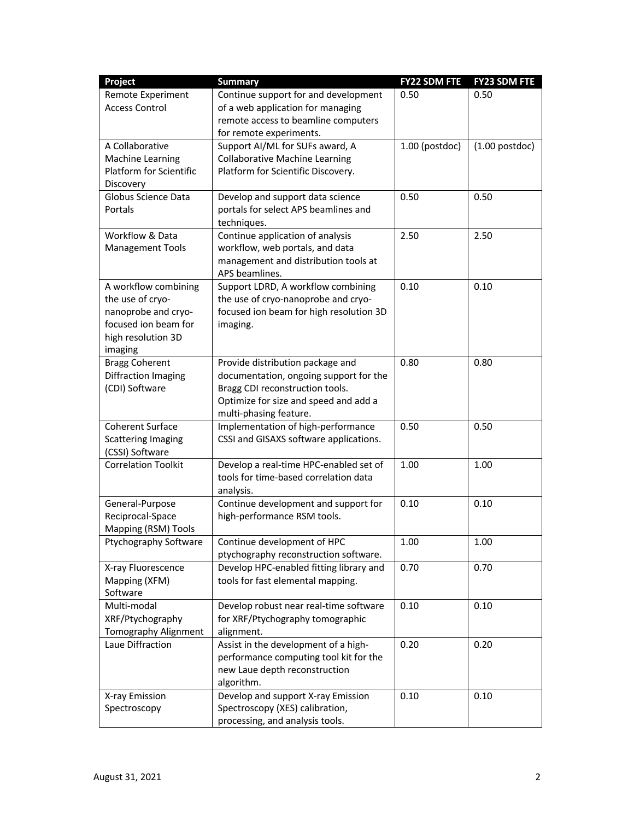| Project                                    | <b>Summary</b>                          | <b>FY22 SDM FTE</b> | <b>FY23 SDM FTE</b> |
|--------------------------------------------|-----------------------------------------|---------------------|---------------------|
| Remote Experiment                          | Continue support for and development    | 0.50                | 0.50                |
| <b>Access Control</b>                      | of a web application for managing       |                     |                     |
|                                            | remote access to beamline computers     |                     |                     |
|                                            | for remote experiments.                 |                     |                     |
| A Collaborative                            | Support AI/ML for SUFs award, A         | $1.00$ (postdoc)    | $(1.00$ postdoc)    |
| Machine Learning                           | <b>Collaborative Machine Learning</b>   |                     |                     |
| Platform for Scientific                    | Platform for Scientific Discovery.      |                     |                     |
| Discovery                                  |                                         |                     |                     |
| Globus Science Data                        | Develop and support data science        | 0.50                | 0.50                |
| Portals                                    | portals for select APS beamlines and    |                     |                     |
|                                            | techniques.                             |                     |                     |
| Workflow & Data                            | Continue application of analysis        | 2.50                | 2.50                |
| <b>Management Tools</b>                    | workflow, web portals, and data         |                     |                     |
|                                            | management and distribution tools at    |                     |                     |
|                                            | APS beamlines.                          |                     |                     |
| A workflow combining                       | Support LDRD, A workflow combining      | 0.10                | 0.10                |
| the use of cryo-                           | the use of cryo-nanoprobe and cryo-     |                     |                     |
| nanoprobe and cryo-                        | focused ion beam for high resolution 3D |                     |                     |
| focused ion beam for<br>high resolution 3D | imaging.                                |                     |                     |
| imaging                                    |                                         |                     |                     |
| <b>Bragg Coherent</b>                      | Provide distribution package and        | 0.80                | 0.80                |
| Diffraction Imaging                        | documentation, ongoing support for the  |                     |                     |
| (CDI) Software                             | Bragg CDI reconstruction tools.         |                     |                     |
|                                            | Optimize for size and speed and add a   |                     |                     |
|                                            | multi-phasing feature.                  |                     |                     |
| <b>Coherent Surface</b>                    | Implementation of high-performance      | 0.50                | 0.50                |
| <b>Scattering Imaging</b>                  | CSSI and GISAXS software applications.  |                     |                     |
| (CSSI) Software                            |                                         |                     |                     |
| <b>Correlation Toolkit</b>                 | Develop a real-time HPC-enabled set of  | 1.00                | 1.00                |
|                                            | tools for time-based correlation data   |                     |                     |
|                                            | analysis.                               |                     |                     |
| General-Purpose                            | Continue development and support for    | 0.10                | 0.10                |
| Reciprocal-Space                           | high-performance RSM tools.             |                     |                     |
| Mapping (RSM) Tools                        |                                         |                     |                     |
| Ptychography Software                      | Continue development of HPC             | 1.00                | 1.00                |
|                                            | ptychography reconstruction software.   |                     |                     |
| X-ray Fluorescence                         | Develop HPC-enabled fitting library and | 0.70                | 0.70                |
| Mapping (XFM)                              | tools for fast elemental mapping.       |                     |                     |
| Software                                   |                                         |                     |                     |
| Multi-modal                                | Develop robust near real-time software  | 0.10                | 0.10                |
| XRF/Ptychography                           | for XRF/Ptychography tomographic        |                     |                     |
| Tomography Alignment                       | alignment.                              |                     |                     |
| Laue Diffraction                           | Assist in the development of a high-    | 0.20                | 0.20                |
|                                            | performance computing tool kit for the  |                     |                     |
|                                            | new Laue depth reconstruction           |                     |                     |
|                                            | algorithm.                              |                     |                     |
| X-ray Emission                             | Develop and support X-ray Emission      | 0.10                | 0.10                |
| Spectroscopy                               | Spectroscopy (XES) calibration,         |                     |                     |
|                                            | processing, and analysis tools.         |                     |                     |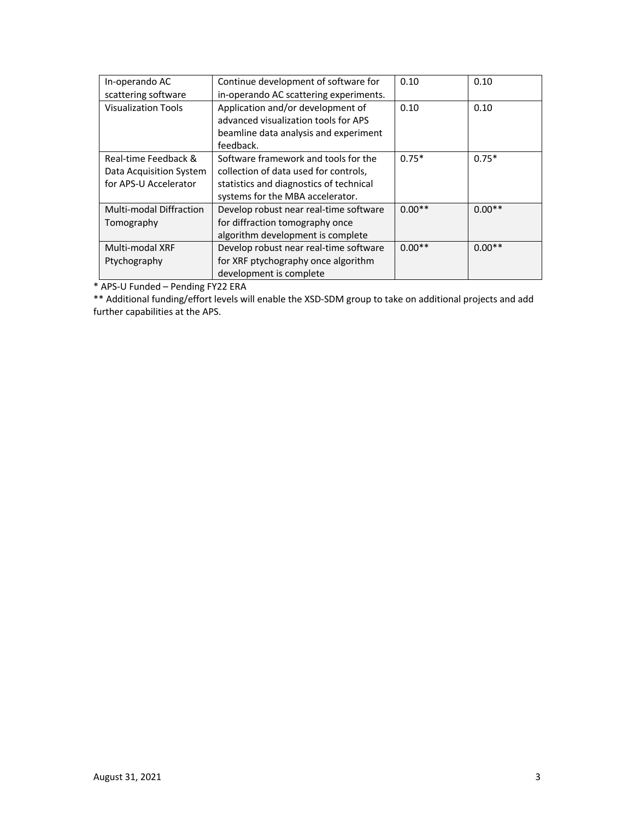| In-operando AC                 | Continue development of software for    | 0.10     | 0.10     |
|--------------------------------|-----------------------------------------|----------|----------|
| scattering software            | in-operando AC scattering experiments.  |          |          |
| <b>Visualization Tools</b>     | Application and/or development of       | 0.10     | 0.10     |
|                                | advanced visualization tools for APS    |          |          |
|                                | beamline data analysis and experiment   |          |          |
|                                | feedback.                               |          |          |
| Real-time Feedback &           | Software framework and tools for the    | $0.75*$  | $0.75*$  |
| Data Acquisition System        | collection of data used for controls,   |          |          |
| for APS-U Accelerator          | statistics and diagnostics of technical |          |          |
|                                | systems for the MBA accelerator.        |          |          |
| <b>Multi-modal Diffraction</b> | Develop robust near real-time software  | $0.00**$ | $0.00**$ |
| Tomography                     | for diffraction tomography once         |          |          |
|                                | algorithm development is complete       |          |          |
| Multi-modal XRF                | Develop robust near real-time software  | $0.00**$ | $0.00**$ |
| Ptychography                   | for XRF ptychography once algorithm     |          |          |
|                                | development is complete                 |          |          |

\* APS-U Funded – Pending FY22 ERA

\*\* Additional funding/effort levels will enable the XSD-SDM group to take on additional projects and add further capabilities at the APS.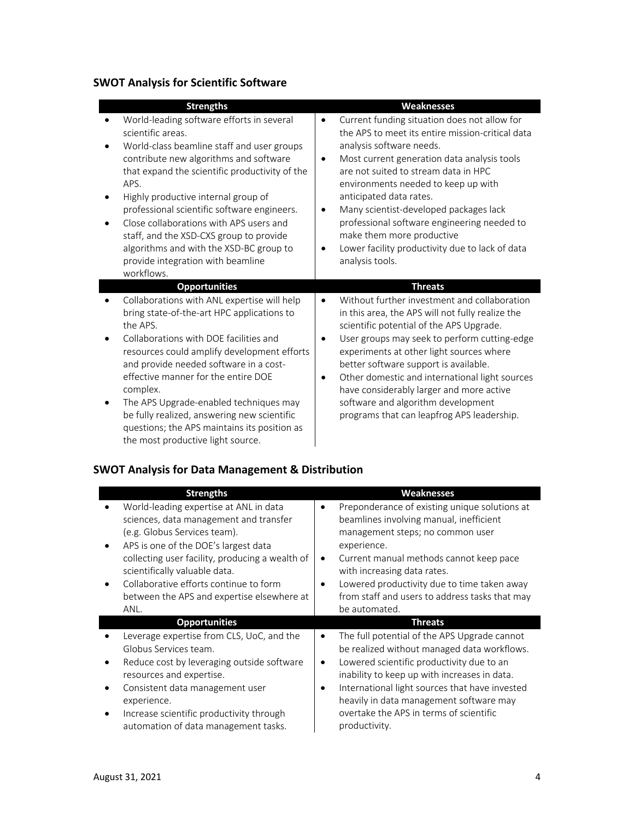# **SWOT Analysis for Scientific Software**

| <b>Strengths</b>                                                                                                                                                                                                                                                                                                                                                                                                                                                                                        | Weaknesses                                                                                                                                                                                                                                                                                                                                                                                                                                                                                                                            |
|---------------------------------------------------------------------------------------------------------------------------------------------------------------------------------------------------------------------------------------------------------------------------------------------------------------------------------------------------------------------------------------------------------------------------------------------------------------------------------------------------------|---------------------------------------------------------------------------------------------------------------------------------------------------------------------------------------------------------------------------------------------------------------------------------------------------------------------------------------------------------------------------------------------------------------------------------------------------------------------------------------------------------------------------------------|
| World-leading software efforts in several<br>scientific areas.<br>World-class beamline staff and user groups<br>$\bullet$<br>contribute new algorithms and software<br>that expand the scientific productivity of the<br>APS.<br>Highly productive internal group of<br>professional scientific software engineers.<br>Close collaborations with APS users and<br>staff, and the XSD-CXS group to provide<br>algorithms and with the XSD-BC group to<br>provide integration with beamline<br>workflows. | Current funding situation does not allow for<br>$\bullet$<br>the APS to meet its entire mission-critical data<br>analysis software needs.<br>Most current generation data analysis tools<br>$\bullet$<br>are not suited to stream data in HPC<br>environments needed to keep up with<br>anticipated data rates.<br>Many scientist-developed packages lack<br>$\bullet$<br>professional software engineering needed to<br>make them more productive<br>Lower facility productivity due to lack of data<br>$\bullet$<br>analysis tools. |
| <b>Opportunities</b>                                                                                                                                                                                                                                                                                                                                                                                                                                                                                    | <b>Threats</b>                                                                                                                                                                                                                                                                                                                                                                                                                                                                                                                        |
| Collaborations with ANL expertise will help<br>bring state-of-the-art HPC applications to<br>the APS.<br>Collaborations with DOE facilities and<br>resources could amplify development efforts<br>and provide needed software in a cost-<br>effective manner for the entire DOE<br>complex.<br>The APS Upgrade-enabled techniques may<br>be fully realized, answering new scientific<br>questions; the APS maintains its position as<br>the most productive light source.                               | Without further investment and collaboration<br>$\bullet$<br>in this area, the APS will not fully realize the<br>scientific potential of the APS Upgrade.<br>User groups may seek to perform cutting-edge<br>٠<br>experiments at other light sources where<br>better software support is available.<br>Other domestic and international light sources<br>٠<br>have considerably larger and more active<br>software and algorithm development<br>programs that can leapfrog APS leadership.                                            |

# **SWOT Analysis for Data Management & Distribution**

| <b>Strengths</b>                                                                                                                                                                                                                                                                                                                             | <b>Weaknesses</b>                                                                                                                                                                                                                                                                                                                                                                        |
|----------------------------------------------------------------------------------------------------------------------------------------------------------------------------------------------------------------------------------------------------------------------------------------------------------------------------------------------|------------------------------------------------------------------------------------------------------------------------------------------------------------------------------------------------------------------------------------------------------------------------------------------------------------------------------------------------------------------------------------------|
| World-leading expertise at ANL in data<br>sciences, data management and transfer<br>(e.g. Globus Services team).<br>APS is one of the DOE's largest data<br>collecting user facility, producing a wealth of<br>scientifically valuable data.<br>Collaborative efforts continue to form<br>between the APS and expertise elsewhere at<br>ANL. | Preponderance of existing unique solutions at<br>$\bullet$<br>beamlines involving manual, inefficient<br>management steps; no common user<br>experience.<br>Current manual methods cannot keep pace<br>$\bullet$<br>with increasing data rates.<br>Lowered productivity due to time taken away<br>$\bullet$<br>from staff and users to address tasks that may<br>be automated.           |
| <b>Opportunities</b>                                                                                                                                                                                                                                                                                                                         | <b>Threats</b>                                                                                                                                                                                                                                                                                                                                                                           |
| Leverage expertise from CLS, UoC, and the<br>Globus Services team.<br>Reduce cost by leveraging outside software<br>resources and expertise.<br>Consistent data management user<br>experience.<br>Increase scientific productivity through<br>٠<br>automation of data management tasks.                                                      | The full potential of the APS Upgrade cannot<br>$\bullet$<br>be realized without managed data workflows.<br>Lowered scientific productivity due to an<br>$\bullet$<br>inability to keep up with increases in data.<br>International light sources that have invested<br>$\bullet$<br>heavily in data management software may<br>overtake the APS in terms of scientific<br>productivity. |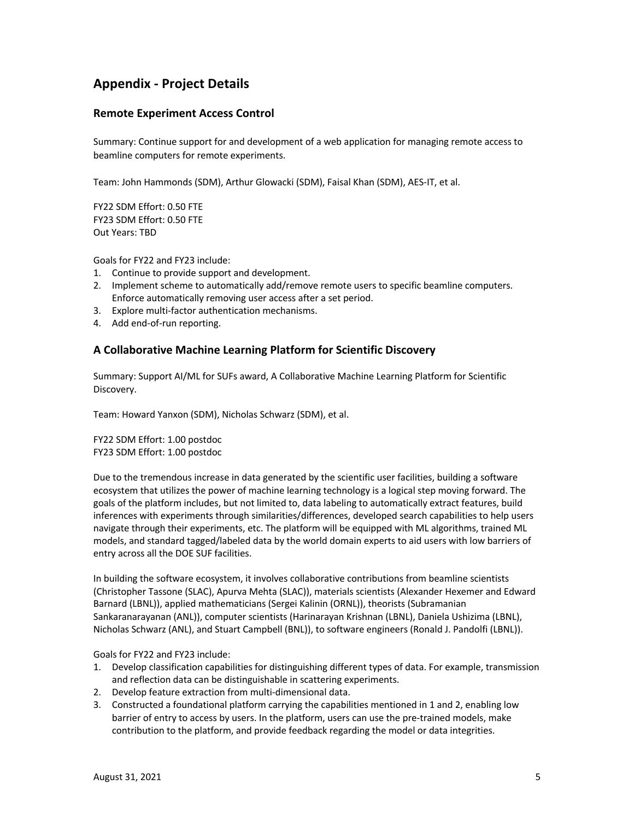## **Appendix - Project Details**

### **Remote Experiment Access Control**

Summary: Continue support for and development of a web application for managing remote access to beamline computers for remote experiments.

Team: John Hammonds (SDM), Arthur Glowacki (SDM), Faisal Khan (SDM), AES-IT, et al.

FY22 SDM Effort: 0.50 FTE FY23 SDM Effort: 0.50 FTE Out Years: TBD

Goals for FY22 and FY23 include:

- 1. Continue to provide support and development.
- 2. Implement scheme to automatically add/remove remote users to specific beamline computers. Enforce automatically removing user access after a set period.
- 3. Explore multi-factor authentication mechanisms.
- 4. Add end-of-run reporting.

#### **A Collaborative Machine Learning Platform for Scientific Discovery**

Summary: Support AI/ML for SUFs award, A Collaborative Machine Learning Platform for Scientific Discovery.

Team: Howard Yanxon (SDM), Nicholas Schwarz (SDM), et al.

FY22 SDM Effort: 1.00 postdoc FY23 SDM Effort: 1.00 postdoc

Due to the tremendous increase in data generated by the scientific user facilities, building a software ecosystem that utilizes the power of machine learning technology is a logical step moving forward. The goals of the platform includes, but not limited to, data labeling to automatically extract features, build inferences with experiments through similarities/differences, developed search capabilities to help users navigate through their experiments, etc. The platform will be equipped with ML algorithms, trained ML models, and standard tagged/labeled data by the world domain experts to aid users with low barriers of entry across all the DOE SUF facilities.

In building the software ecosystem, it involves collaborative contributions from beamline scientists (Christopher Tassone (SLAC), Apurva Mehta (SLAC)), materials scientists (Alexander Hexemer and Edward Barnard (LBNL)), applied mathematicians (Sergei Kalinin (ORNL)), theorists (Subramanian Sankaranarayanan (ANL)), computer scientists (Harinarayan Krishnan (LBNL), Daniela Ushizima (LBNL), Nicholas Schwarz (ANL), and Stuart Campbell (BNL)), to software engineers (Ronald J. Pandolfi (LBNL)).

- 1. Develop classification capabilities for distinguishing different types of data. For example, transmission and reflection data can be distinguishable in scattering experiments.
- 2. Develop feature extraction from multi-dimensional data.
- 3. Constructed a foundational platform carrying the capabilities mentioned in 1 and 2, enabling low barrier of entry to access by users. In the platform, users can use the pre-trained models, make contribution to the platform, and provide feedback regarding the model or data integrities.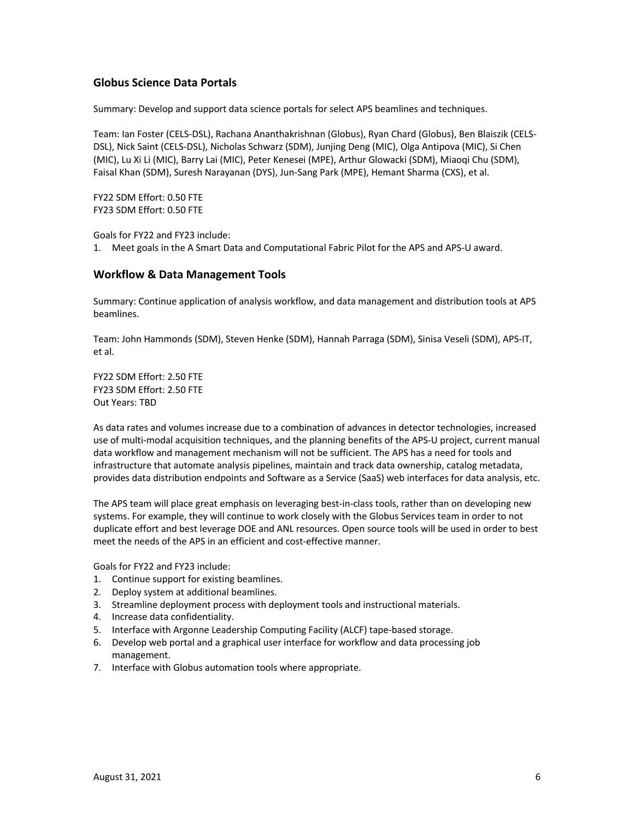#### **Globus Science Data Portals**

Summary: Develop and support data science portals for select APS beamlines and techniques.

Team: Ian Foster (CELS-DSL), Rachana Ananthakrishnan (Globus), Ryan Chard (Globus), Ben Blaiszik (CELS-DSL), Nick Saint (CELS-DSL), Nicholas Schwarz (SDM), Junjing Deng (MIC), Olga Antipova (MIC), Si Chen (MIC), Lu Xi Li (MIC), Barry Lai (MIC), Peter Kenesei (MPE), Arthur Glowacki (SDM), Miaoqi Chu (SDM), Faisal Khan (SDM), Suresh Narayanan (DYS), Jun-Sang Park (MPE), Hemant Sharma (CXS), et al.

FY22 SDM Effort: 0.50 FTE FY23 SDM Effort: 0.50 FTE

Goals for FY22 and FY23 include: 1. Meet goals in the A Smart Data and Computational Fabric Pilot for the APS and APS-U award.

#### **Workflow & Data Management Tools**

Summary: Continue application of analysis workflow, and data management and distribution tools at APS beamlines.

Team: John Hammonds (SDM), Steven Henke (SDM), Hannah Parraga (SDM), Sinisa Veseli (SDM), APS-IT, et al.

FY22 SDM Effort: 2.50 FTE FY23 SDM Effort: 2.50 FTE Out Years: TBD

As data rates and volumes increase due to a combination of advances in detector technologies, increased use of multi-modal acquisition techniques, and the planning benefits of the APS-U project, current manual data workflow and management mechanism will not be sufficient. The APS has a need for tools and infrastructure that automate analysis pipelines, maintain and track data ownership, catalog metadata, provides data distribution endpoints and Software as a Service (SaaS) web interfaces for data analysis, etc.

The APS team will place great emphasis on leveraging best-in-class tools, rather than on developing new systems. For example, they will continue to work closely with the Globus Services team in order to not duplicate effort and best leverage DOE and ANL resources. Open source tools will be used in order to best meet the needs of the APS in an efficient and cost-effective manner.

- 1. Continue support for existing beamlines.
- 2. Deploy system at additional beamlines.
- 3. Streamline deployment process with deployment tools and instructional materials.
- 4. Increase data confidentiality.
- 5. Interface with Argonne Leadership Computing Facility (ALCF) tape-based storage.
- 6. Develop web portal and a graphical user interface for workflow and data processing job management.
- 7. Interface with Globus automation tools where appropriate.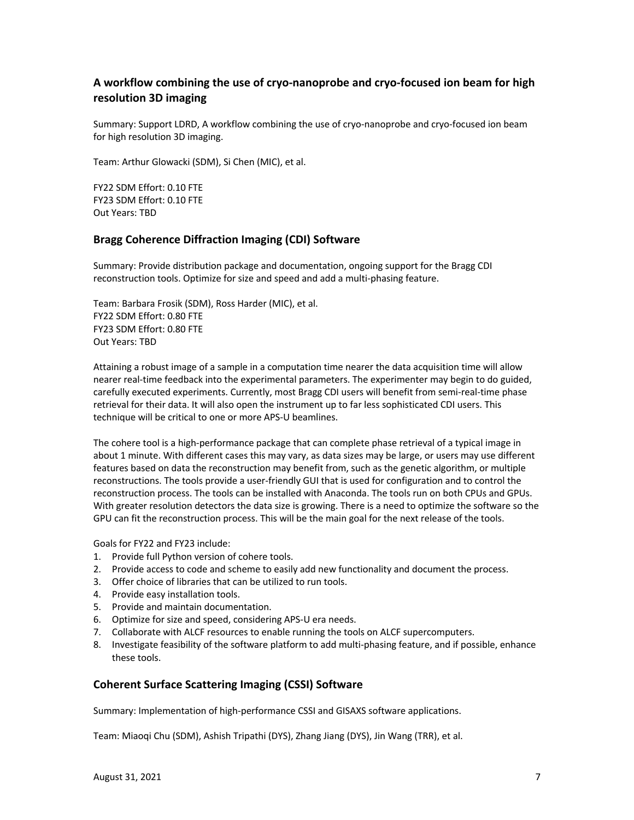## **A workflow combining the use of cryo-nanoprobe and cryo-focused ion beam for high resolution 3D imaging**

Summary: Support LDRD, A workflow combining the use of cryo-nanoprobe and cryo-focused ion beam for high resolution 3D imaging.

Team: Arthur Glowacki (SDM), Si Chen (MIC), et al.

FY22 SDM Effort: 0.10 FTE FY23 SDM Effort: 0.10 FTE Out Years: TBD

#### **Bragg Coherence Diffraction Imaging (CDI) Software**

Summary: Provide distribution package and documentation, ongoing support for the Bragg CDI reconstruction tools. Optimize for size and speed and add a multi-phasing feature.

Team: Barbara Frosik (SDM), Ross Harder (MIC), et al. FY22 SDM Effort: 0.80 FTE FY23 SDM Effort: 0.80 FTE Out Years: TBD

Attaining a robust image of a sample in a computation time nearer the data acquisition time will allow nearer real-time feedback into the experimental parameters. The experimenter may begin to do guided, carefully executed experiments. Currently, most Bragg CDI users will benefit from semi-real-time phase retrieval for their data. It will also open the instrument up to far less sophisticated CDI users. This technique will be critical to one or more APS-U beamlines.

The cohere tool is a high-performance package that can complete phase retrieval of a typical image in about 1 minute. With different cases this may vary, as data sizes may be large, or users may use different features based on data the reconstruction may benefit from, such as the genetic algorithm, or multiple reconstructions. The tools provide a user-friendly GUI that is used for configuration and to control the reconstruction process. The tools can be installed with Anaconda. The tools run on both CPUs and GPUs. With greater resolution detectors the data size is growing. There is a need to optimize the software so the GPU can fit the reconstruction process. This will be the main goal for the next release of the tools.

Goals for FY22 and FY23 include:

- 1. Provide full Python version of cohere tools.
- 2. Provide access to code and scheme to easily add new functionality and document the process.
- 3. Offer choice of libraries that can be utilized to run tools.
- 4. Provide easy installation tools.
- 5. Provide and maintain documentation.
- 6. Optimize for size and speed, considering APS-U era needs.
- 7. Collaborate with ALCF resources to enable running the tools on ALCF supercomputers.
- 8. Investigate feasibility of the software platform to add multi-phasing feature, and if possible, enhance these tools.

#### **Coherent Surface Scattering Imaging (CSSI) Software**

Summary: Implementation of high-performance CSSI and GISAXS software applications.

Team: Miaoqi Chu (SDM), Ashish Tripathi (DYS), Zhang Jiang (DYS), Jin Wang (TRR), et al.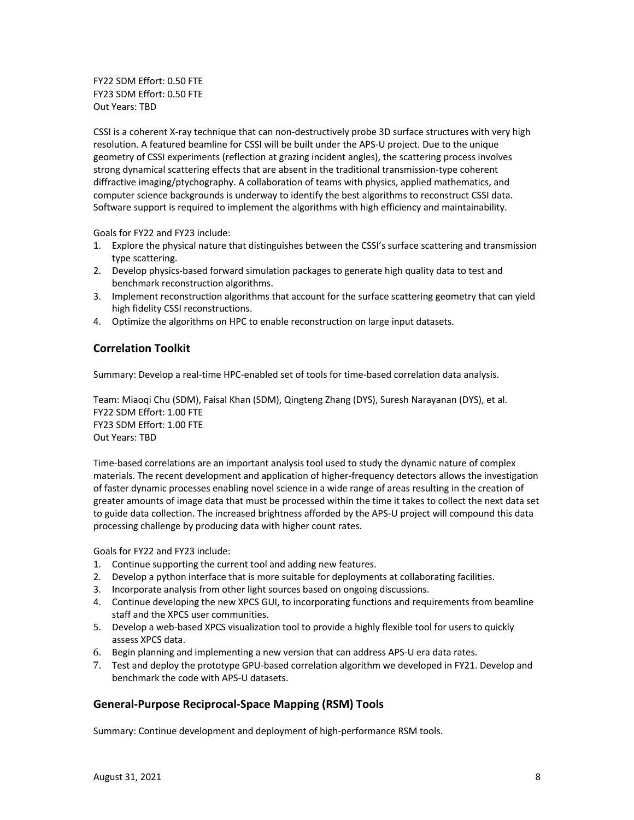FY22 SDM Effort: 0.50 FTE FY23 SDM Effort: 0.50 FTE Out Years: TBD

CSSI is a coherent X-ray technique that can non-destructively probe 3D surface structures with very high resolution. A featured beamline for CSSI will be built under the APS-U project. Due to the unique geometry of CSSI experiments (reflection at grazing incident angles), the scattering process involves strong dynamical scattering effects that are absent in the traditional transmission-type coherent diffractive imaging/ptychography. A collaboration of teams with physics, applied mathematics, and computer science backgrounds is underway to identify the best algorithms to reconstruct CSSI data. Software support is required to implement the algorithms with high efficiency and maintainability.

Goals for FY22 and FY23 include:

- 1. Explore the physical nature that distinguishes between the CSSI's surface scattering and transmission type scattering.
- 2. Develop physics-based forward simulation packages to generate high quality data to test and benchmark reconstruction algorithms.
- 3. Implement reconstruction algorithms that account for the surface scattering geometry that can yield high fidelity CSSI reconstructions.
- 4. Optimize the algorithms on HPC to enable reconstruction on large input datasets.

### **Correlation Toolkit**

Summary: Develop a real-time HPC-enabled set of tools for time-based correlation data analysis.

Team: Miaoqi Chu (SDM), Faisal Khan (SDM), Qingteng Zhang (DYS), Suresh Narayanan (DYS), et al. FY22 SDM Effort: 1.00 FTE FY23 SDM Effort: 1.00 FTE Out Years: TBD

Time-based correlations are an important analysis tool used to study the dynamic nature of complex materials. The recent development and application of higher-frequency detectors allows the investigation of faster dynamic processes enabling novel science in a wide range of areas resulting in the creation of greater amounts of image data that must be processed within the time it takes to collect the next data set to guide data collection. The increased brightness afforded by the APS-U project will compound this data processing challenge by producing data with higher count rates.

Goals for FY22 and FY23 include:

- 1. Continue supporting the current tool and adding new features.
- 2. Develop a python interface that is more suitable for deployments at collaborating facilities.
- 3. Incorporate analysis from other light sources based on ongoing discussions.
- 4. Continue developing the new XPCS GUI, to incorporating functions and requirements from beamline staff and the XPCS user communities.
- 5. Develop a web-based XPCS visualization tool to provide a highly flexible tool for users to quickly assess XPCS data.
- 6. Begin planning and implementing a new version that can address APS-U era data rates.
- 7. Test and deploy the prototype GPU-based correlation algorithm we developed in FY21. Develop and benchmark the code with APS-U datasets.

#### **General-Purpose Reciprocal-Space Mapping (RSM) Tools**

Summary: Continue development and deployment of high-performance RSM tools.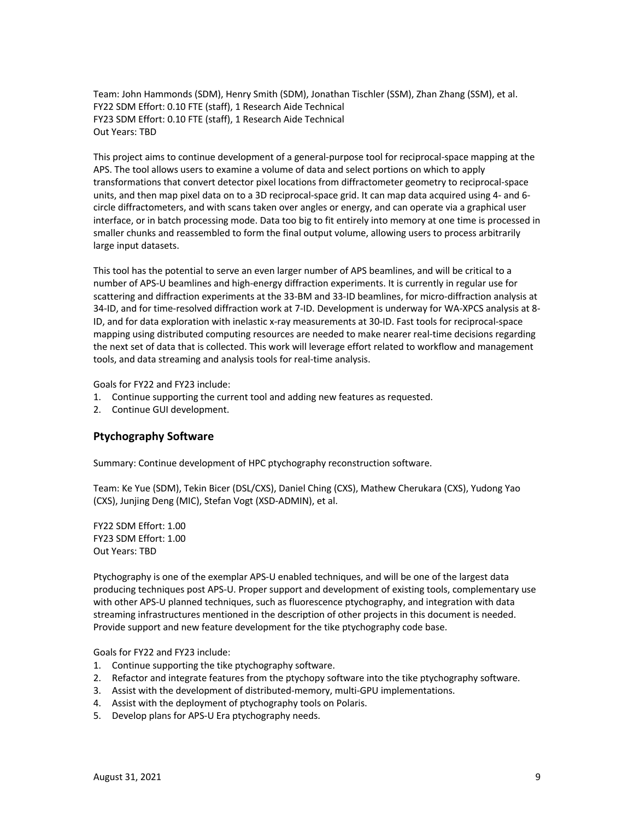Team: John Hammonds (SDM), Henry Smith (SDM), Jonathan Tischler (SSM), Zhan Zhang (SSM), et al. FY22 SDM Effort: 0.10 FTE (staff), 1 Research Aide Technical FY23 SDM Effort: 0.10 FTE (staff), 1 Research Aide Technical Out Years: TBD

This project aims to continue development of a general-purpose tool for reciprocal-space mapping at the APS. The tool allows users to examine a volume of data and select portions on which to apply transformations that convert detector pixel locations from diffractometer geometry to reciprocal-space units, and then map pixel data on to a 3D reciprocal-space grid. It can map data acquired using 4- and 6 circle diffractometers, and with scans taken over angles or energy, and can operate via a graphical user interface, or in batch processing mode. Data too big to fit entirely into memory at one time is processed in smaller chunks and reassembled to form the final output volume, allowing users to process arbitrarily large input datasets.

This tool has the potential to serve an even larger number of APS beamlines, and will be critical to a number of APS-U beamlines and high-energy diffraction experiments. It is currently in regular use for scattering and diffraction experiments at the 33-BM and 33-ID beamlines, for micro-diffraction analysis at 34-ID, and for time-resolved diffraction work at 7-ID. Development is underway for WA-XPCS analysis at 8- ID, and for data exploration with inelastic x-ray measurements at 30-ID. Fast tools for reciprocal-space mapping using distributed computing resources are needed to make nearer real-time decisions regarding the next set of data that is collected. This work will leverage effort related to workflow and management tools, and data streaming and analysis tools for real-time analysis.

Goals for FY22 and FY23 include:

- 1. Continue supporting the current tool and adding new features as requested.
- 2. Continue GUI development.

#### **Ptychography Software**

Summary: Continue development of HPC ptychography reconstruction software.

Team: Ke Yue (SDM), Tekin Bicer (DSL/CXS), Daniel Ching (CXS), Mathew Cherukara (CXS), Yudong Yao (CXS), Junjing Deng (MIC), Stefan Vogt (XSD-ADMIN), et al.

FY22 SDM Effort: 1.00 FY23 SDM Effort: 1.00 Out Years: TBD

Ptychography is one of the exemplar APS-U enabled techniques, and will be one of the largest data producing techniques post APS-U. Proper support and development of existing tools, complementary use with other APS-U planned techniques, such as fluorescence ptychography, and integration with data streaming infrastructures mentioned in the description of other projects in this document is needed. Provide support and new feature development for the tike ptychography code base.

- 1. Continue supporting the tike ptychography software.
- 2. Refactor and integrate features from the ptychopy software into the tike ptychography software.
- 3. Assist with the development of distributed-memory, multi-GPU implementations.
- 4. Assist with the deployment of ptychography tools on Polaris.
- 5. Develop plans for APS-U Era ptychography needs.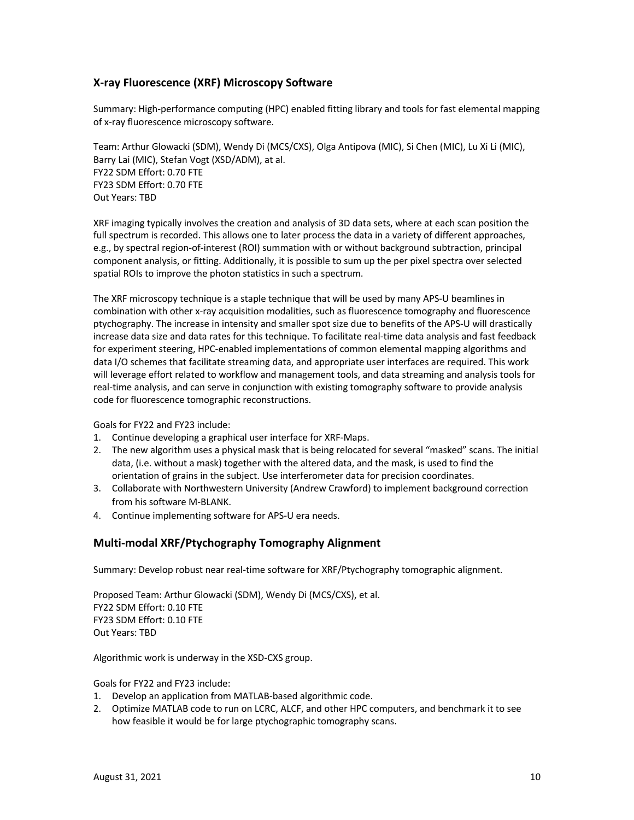### **X-ray Fluorescence (XRF) Microscopy Software**

Summary: High-performance computing (HPC) enabled fitting library and tools for fast elemental mapping of x-ray fluorescence microscopy software.

Team: Arthur Glowacki (SDM), Wendy Di (MCS/CXS), Olga Antipova (MIC), Si Chen (MIC), Lu Xi Li (MIC), Barry Lai (MIC), Stefan Vogt (XSD/ADM), at al. FY22 SDM Effort: 0.70 FTE FY23 SDM Effort: 0.70 FTE Out Years: TBD

XRF imaging typically involves the creation and analysis of 3D data sets, where at each scan position the full spectrum is recorded. This allows one to later process the data in a variety of different approaches, e.g., by spectral region-of-interest (ROI) summation with or without background subtraction, principal component analysis, or fitting. Additionally, it is possible to sum up the per pixel spectra over selected spatial ROIs to improve the photon statistics in such a spectrum.

The XRF microscopy technique is a staple technique that will be used by many APS-U beamlines in combination with other x-ray acquisition modalities, such as fluorescence tomography and fluorescence ptychography. The increase in intensity and smaller spot size due to benefits of the APS-U will drastically increase data size and data rates for this technique. To facilitate real-time data analysis and fast feedback for experiment steering, HPC-enabled implementations of common elemental mapping algorithms and data I/O schemes that facilitate streaming data, and appropriate user interfaces are required. This work will leverage effort related to workflow and management tools, and data streaming and analysis tools for real-time analysis, and can serve in conjunction with existing tomography software to provide analysis code for fluorescence tomographic reconstructions.

Goals for FY22 and FY23 include:

- 1. Continue developing a graphical user interface for XRF-Maps.
- 2. The new algorithm uses a physical mask that is being relocated for several "masked" scans. The initial data, (i.e. without a mask) together with the altered data, and the mask, is used to find the orientation of grains in the subject. Use interferometer data for precision coordinates.
- 3. Collaborate with Northwestern University (Andrew Crawford) to implement background correction from his software M-BLANK.
- 4. Continue implementing software for APS-U era needs.

#### **Multi-modal XRF/Ptychography Tomography Alignment**

Summary: Develop robust near real-time software for XRF/Ptychography tomographic alignment.

Proposed Team: Arthur Glowacki (SDM), Wendy Di (MCS/CXS), et al. FY22 SDM Effort: 0.10 FTE FY23 SDM Effort: 0.10 FTE Out Years: TBD

Algorithmic work is underway in the XSD-CXS group.

- 1. Develop an application from MATLAB-based algorithmic code.
- 2. Optimize MATLAB code to run on LCRC, ALCF, and other HPC computers, and benchmark it to see how feasible it would be for large ptychographic tomography scans.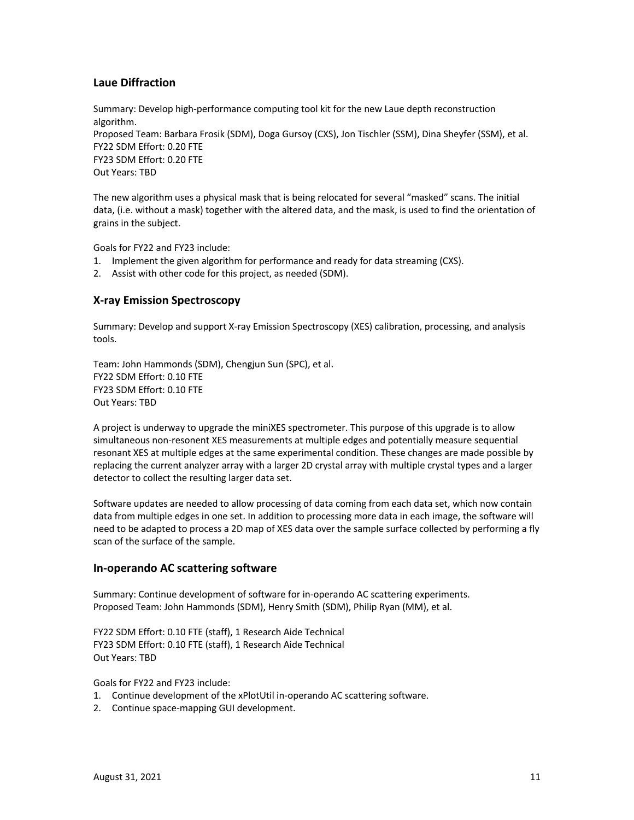### **Laue Diffraction**

Summary: Develop high-performance computing tool kit for the new Laue depth reconstruction algorithm. Proposed Team: Barbara Frosik (SDM), Doga Gursoy (CXS), Jon Tischler (SSM), Dina Sheyfer (SSM), et al. FY22 SDM Effort: 0.20 FTE FY23 SDM Effort: 0.20 FTE Out Years: TBD

The new algorithm uses a physical mask that is being relocated for several "masked" scans. The initial data, (i.e. without a mask) together with the altered data, and the mask, is used to find the orientation of grains in the subject.

Goals for FY22 and FY23 include:

- 1. Implement the given algorithm for performance and ready for data streaming (CXS).
- 2. Assist with other code for this project, as needed (SDM).

#### **X-ray Emission Spectroscopy**

Summary: Develop and support X-ray Emission Spectroscopy (XES) calibration, processing, and analysis tools.

Team: John Hammonds (SDM), Chengjun Sun (SPC), et al. FY22 SDM Effort: 0.10 FTE FY23 SDM Effort: 0.10 FTE Out Years: TBD

A project is underway to upgrade the miniXES spectrometer. This purpose of this upgrade is to allow simultaneous non-resonent XES measurements at multiple edges and potentially measure sequential resonant XES at multiple edges at the same experimental condition. These changes are made possible by replacing the current analyzer array with a larger 2D crystal array with multiple crystal types and a larger detector to collect the resulting larger data set.

Software updates are needed to allow processing of data coming from each data set, which now contain data from multiple edges in one set. In addition to processing more data in each image, the software will need to be adapted to process a 2D map of XES data over the sample surface collected by performing a fly scan of the surface of the sample.

#### **In-operando AC scattering software**

Summary: Continue development of software for in-operando AC scattering experiments. Proposed Team: John Hammonds (SDM), Henry Smith (SDM), Philip Ryan (MM), et al.

FY22 SDM Effort: 0.10 FTE (staff), 1 Research Aide Technical FY23 SDM Effort: 0.10 FTE (staff), 1 Research Aide Technical Out Years: TBD

- 1. Continue development of the xPlotUtil in-operando AC scattering software.
- 2. Continue space-mapping GUI development.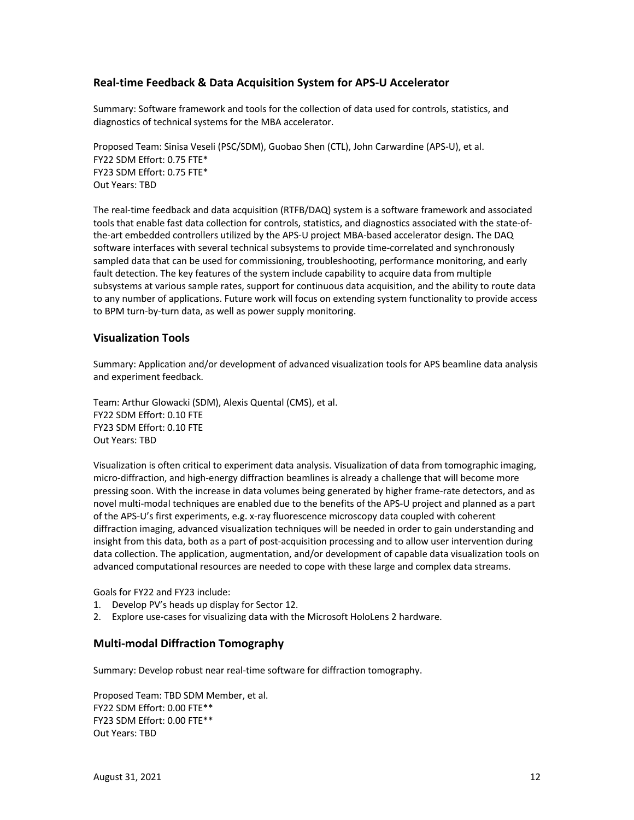#### **Real-time Feedback & Data Acquisition System for APS-U Accelerator**

Summary: Software framework and tools for the collection of data used for controls, statistics, and diagnostics of technical systems for the MBA accelerator.

Proposed Team: Sinisa Veseli (PSC/SDM), Guobao Shen (CTL), John Carwardine (APS-U), et al. FY22 SDM Effort: 0.75 FTE\* FY23 SDM Effort: 0.75 FTE\* Out Years: TBD

The real-time feedback and data acquisition (RTFB/DAQ) system is a software framework and associated tools that enable fast data collection for controls, statistics, and diagnostics associated with the state-ofthe-art embedded controllers utilized by the APS-U project MBA-based accelerator design. The DAQ software interfaces with several technical subsystems to provide time-correlated and synchronously sampled data that can be used for commissioning, troubleshooting, performance monitoring, and early fault detection. The key features of the system include capability to acquire data from multiple subsystems at various sample rates, support for continuous data acquisition, and the ability to route data to any number of applications. Future work will focus on extending system functionality to provide access to BPM turn-by-turn data, as well as power supply monitoring.

#### **Visualization Tools**

Summary: Application and/or development of advanced visualization tools for APS beamline data analysis and experiment feedback.

Team: Arthur Glowacki (SDM), Alexis Quental (CMS), et al. FY22 SDM Effort: 0.10 FTE FY23 SDM Effort: 0.10 FTE Out Years: TBD

Visualization is often critical to experiment data analysis. Visualization of data from tomographic imaging, micro-diffraction, and high-energy diffraction beamlines is already a challenge that will become more pressing soon. With the increase in data volumes being generated by higher frame-rate detectors, and as novel multi-modal techniques are enabled due to the benefits of the APS-U project and planned as a part of the APS-U's first experiments, e.g. x-ray fluorescence microscopy data coupled with coherent diffraction imaging, advanced visualization techniques will be needed in order to gain understanding and insight from this data, both as a part of post-acquisition processing and to allow user intervention during data collection. The application, augmentation, and/or development of capable data visualization tools on advanced computational resources are needed to cope with these large and complex data streams.

Goals for FY22 and FY23 include:

- 1. Develop PV's heads up display for Sector 12.
- 2. Explore use-cases for visualizing data with the Microsoft HoloLens 2 hardware.

#### **Multi-modal Diffraction Tomography**

Summary: Develop robust near real-time software for diffraction tomography.

Proposed Team: TBD SDM Member, et al. FY22 SDM Effort: 0.00 FTE\*\* FY23 SDM Effort: 0.00 FTE\*\* Out Years: TBD